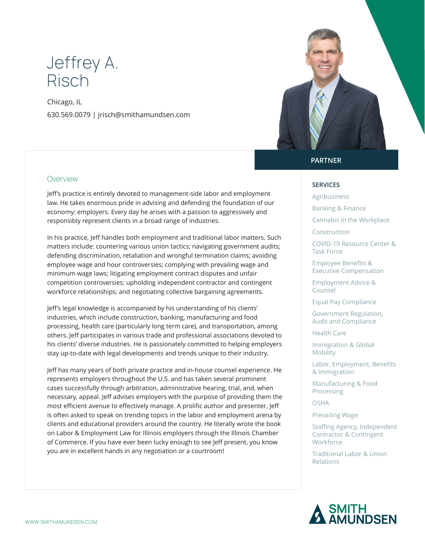# Jeffrey A. Risch

Chicago, IL 630.569.0079 | jrisch@smithamundsen.com



#### **Overview**

Jeff's practice is entirely devoted to management-side labor and employment law. He takes enormous pride in advising and defending the foundation of our economy: employers. Every day he arises with a passion to aggressively and responsibly represent clients in a broad range of industries.

In his practice, Jeff handles both employment and traditional labor matters. Such matters include: countering various union tactics; navigating government audits; defending discrimination, retaliation and wrongful termination claims; avoiding employee wage and hour controversies; complying with prevailing wage and minimum wage laws; litigating employment contract disputes and unfair competition controversies; upholding independent contractor and contingent workforce relationships; and negotiating collective bargaining agreements.

Jeff's legal knowledge is accompanied by his understanding of his clients' industries, which include construction, banking, manufacturing and food processing, health care (particularly long term care), and transportation, among others. Jeff participates in various trade and professional associations devoted to his clients' diverse industries. He is passionately committed to helping employers stay up-to-date with legal developments and trends unique to their industry.

Jeff has many years of both private practice and in-house counsel experience. He represents employers throughout the U.S. and has taken several prominent cases successfully through arbitration, administrative hearing, trial, and, when necessary, appeal. Jeff advises employers with the purpose of providing them the most efficient avenue to effectively manage. A prolific author and presenter, Jeff is often asked to speak on trending topics in the labor and employment arena by clients and educational providers around the country. He literally wrote the book on Labor & Employment Law for Illinois employers through the Illinois Chamber of Commerce. If you have ever been lucky enough to see Jeff present, you know you are in excellent hands in any negotiation or a courtroom!

### **PARTNER**

#### **SERVICES**

- Agribusiness
- Banking & Finance
- Cannabis in the Workplace
- Construction

COVID-19 Resource Center & Task Force

Employee Benefits & Executive Compensation

Employment Advice & Counsel

Equal Pay Compliance

Government Regulation, Audit and Compliance

Health Care

Immigration & Global Mobility

Labor, Employment, Benefits & Immigration

Manufacturing & Food Processing

OSHA

Prevailing Wage

Staffing Agency, Independent Contractor & Contingent Workforce

Traditional Labor & Union Relations

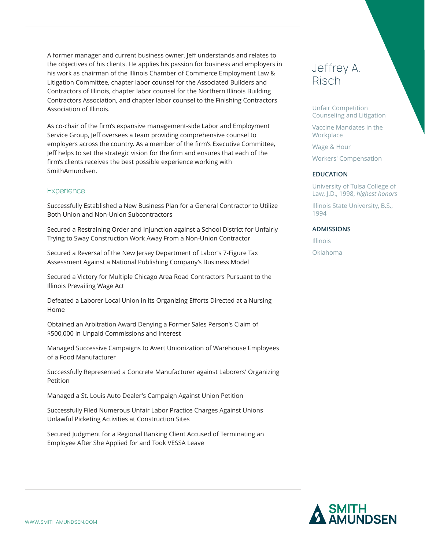A former manager and current business owner, Jeff understands and relates to the objectives of his clients. He applies his passion for business and employers in his work as chairman of the Illinois Chamber of Commerce Employment Law & Litigation Committee, chapter labor counsel for the Associated Builders and Contractors of Illinois, chapter labor counsel for the Northern Illinois Building Contractors Association, and chapter labor counsel to the Finishing Contractors Association of Illinois.

As co-chair of the firm's expansive management-side Labor and Employment Service Group, Jeff oversees a team providing comprehensive counsel to employers across the country. As a member of the firm's Executive Committee, Jeff helps to set the strategic vision for the firm and ensures that each of the firm's clients receives the best possible experience working with SmithAmundsen.

### **Experience**

Successfully Established a New Business Plan for a General Contractor to Utilize Both Union and Non-Union Subcontractors

Secured a Restraining Order and Injunction against a School District for Unfairly Trying to Sway Construction Work Away From a Non-Union Contractor

Secured a Reversal of the New Jersey Department of Labor's 7-Figure Tax Assessment Against a National Publishing Company's Business Model

Secured a Victory for Multiple Chicago Area Road Contractors Pursuant to the Illinois Prevailing Wage Act

Defeated a Laborer Local Union in its Organizing Efforts Directed at a Nursing Home

Obtained an Arbitration Award Denying a Former Sales Person's Claim of \$500,000 in Unpaid Commissions and Interest

Managed Successive Campaigns to Avert Unionization of Warehouse Employees of a Food Manufacturer

Successfully Represented a Concrete Manufacturer against Laborers' Organizing Petition

Managed a St. Louis Auto Dealer's Campaign Against Union Petition

Successfully Filed Numerous Unfair Labor Practice Charges Against Unions Unlawful Picketing Activities at Construction Sites

Secured Judgment for a Regional Banking Client Accused of Terminating an Employee After She Applied for and Took VESSA Leave

# Jeffrey A. Risch

Unfair Competition Counseling and Litigation

Vaccine Mandates in the Workplace

Wage & Hour

Workers' Compensation

#### **EDUCATION**

University of Tulsa College of Law, J.D., 1998, *highest honors*

Illinois State University, B.S., 1994

#### **ADMISSIONS**

Illinois Oklahoma

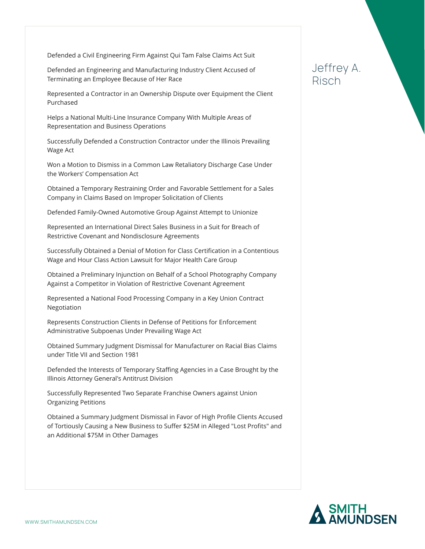Defended a Civil Engineering Firm Against Qui Tam False Claims Act Suit

Defended an Engineering and Manufacturing Industry Client Accused of Terminating an Employee Because of Her Race

Represented a Contractor in an Ownership Dispute over Equipment the Client Purchased

Helps a National Multi-Line Insurance Company With Multiple Areas of Representation and Business Operations

Successfully Defended a Construction Contractor under the Illinois Prevailing Wage Act

Won a Motion to Dismiss in a Common Law Retaliatory Discharge Case Under the Workers' Compensation Act

Obtained a Temporary Restraining Order and Favorable Settlement for a Sales Company in Claims Based on Improper Solicitation of Clients

Defended Family-Owned Automotive Group Against Attempt to Unionize

Represented an International Direct Sales Business in a Suit for Breach of Restrictive Covenant and Nondisclosure Agreements

Successfully Obtained a Denial of Motion for Class Certification in a Contentious Wage and Hour Class Action Lawsuit for Major Health Care Group

Obtained a Preliminary Injunction on Behalf of a School Photography Company Against a Competitor in Violation of Restrictive Covenant Agreement

Represented a National Food Processing Company in a Key Union Contract Negotiation

Represents Construction Clients in Defense of Petitions for Enforcement Administrative Subpoenas Under Prevailing Wage Act

Obtained Summary Judgment Dismissal for Manufacturer on Racial Bias Claims under Title VII and Section 1981

Defended the Interests of Temporary Staffing Agencies in a Case Brought by the Illinois Attorney General's Antitrust Division

Successfully Represented Two Separate Franchise Owners against Union Organizing Petitions

Obtained a Summary Judgment Dismissal in Favor of High Profile Clients Accused of Tortiously Causing a New Business to Suffer \$25M in Alleged "Lost Profits" and an Additional \$75M in Other Damages

### Jeffrey A. Risch

SMITH<br>AMUNDSEN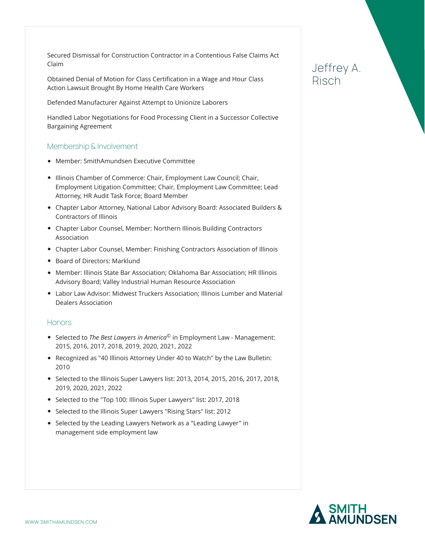Secured Dismissal for Construction Contractor in a Contentious False Claims Act Claim

Obtained Denial of Motion for Class Certification in a Wage and Hour Class Action Lawsuit Brought By Home Health Care Workers

Defended Manufacturer Against Attempt to Unionize Laborers

Handled Labor Negotiations for Food Processing Client in a Successor Collective Bargaining Agreement

#### Membership & Involvement

- Member: SmithAmundsen Executive Committee
- Illinois Chamber of Commerce: Chair, Employment Law Council; Chair, Employment Litigation Committee; Chair, Employment Law Committee; Lead Attorney, HR Audit Task Force; Board Member
- Chapter Labor Attorney, National Labor Advisory Board: Associated Builders & Contractors of Illinois
- Chapter Labor Counsel, Member: Northern Illinois Building Contractors Association
- Chapter Labor Counsel, Member: Finishing Contractors Association of Illinois
- Board of Directors: Marklund
- Member: Illinois State Bar Association; Oklahoma Bar Association; HR Illinois Advisory Board; Valley Industrial Human Resource Association
- Labor Law Advisor: Midwest Truckers Association; Illinois Lumber and Material Dealers Association

#### **Honors**

- Selected to *The Best Lawyers in America*© in Employment Law Management: 2015, 2016, 2017, 2018, 2019, 2020, 2021, 2022
- Recognized as "40 Illinois Attorney Under 40 to Watch" by the Law Bulletin: 2010
- Selected to the Illinois Super Lawyers list: 2013, 2014, 2015, 2016, 2017, 2018, 2019, 2020, 2021, 2022
- Selected to the "Top 100: Illinois Super Lawyers" list: 2017, 2018
- Selected to the Illinois Super Lawyers "Rising Stars" list: 2012
- Selected by the Leading Lawyers Network as a "Leading Lawyer" in management side employment law

# Jeffrey A. Risch

SMITH<br>AMUNDSEN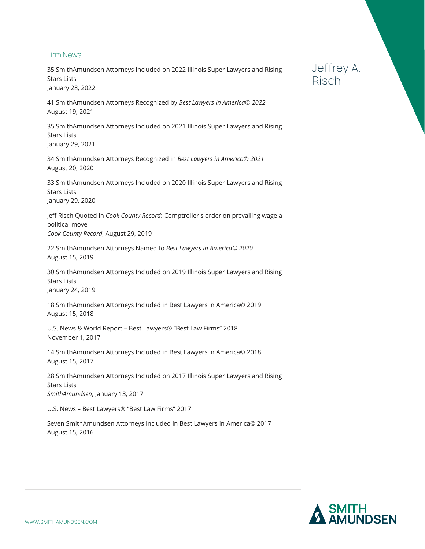#### Firm News

35 SmithAmundsen Attorneys Included on 2022 Illinois Super Lawyers and Rising Stars Lists January 28, 2022

41 SmithAmundsen Attorneys Recognized by *Best Lawyers in America© 2022* August 19, 2021

35 SmithAmundsen Attorneys Included on 2021 Illinois Super Lawyers and Rising Stars Lists January 29, 2021

34 SmithAmundsen Attorneys Recognized in *Best Lawyers in America© 2021* August 20, 2020

33 SmithAmundsen Attorneys Included on 2020 Illinois Super Lawyers and Rising Stars Lists January 29, 2020

Jeff Risch Quoted in *Cook County Record*: Comptroller's order on prevailing wage a political move *Cook County Record*, August 29, 2019

22 SmithAmundsen Attorneys Named to *Best Lawyers in America© 2020* August 15, 2019

30 SmithAmundsen Attorneys Included on 2019 Illinois Super Lawyers and Rising Stars Lists January 24, 2019

18 SmithAmundsen Attorneys Included in Best Lawyers in America© 2019 August 15, 2018

U.S. News & World Report – Best Lawyers® "Best Law Firms" 2018 November 1, 2017

14 SmithAmundsen Attorneys Included in Best Lawyers in America© 2018 August 15, 2017

28 SmithAmundsen Attorneys Included on 2017 Illinois Super Lawyers and Rising Stars Lists *SmithAmundsen*, January 13, 2017

U.S. News – Best Lawyers® "Best Law Firms" 2017

Seven SmithAmundsen Attorneys Included in Best Lawyers in America© 2017 August 15, 2016

# Jeffrey A. Risch

SMITH<br>AMUNDSEN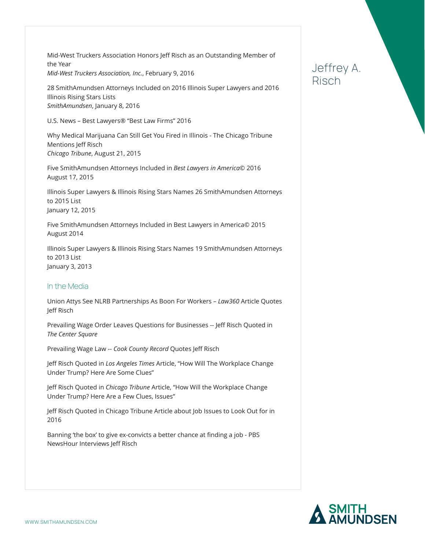Mid-West Truckers Association Honors Jeff Risch as an Outstanding Member of the Year *Mid-West Truckers Association, Inc.*, February 9, 2016

28 SmithAmundsen Attorneys Included on 2016 Illinois Super Lawyers and 2016 Illinois Rising Stars Lists *SmithAmundsen*, January 8, 2016

U.S. News – Best Lawyers® "Best Law Firms" 2016

Why Medical Marijuana Can Still Get You Fired in Illinois - The Chicago Tribune Mentions Jeff Risch *Chicago Tribune*, August 21, 2015

Five SmithAmundsen Attorneys Included in *Best Lawyers in America*© 2016 August 17, 2015

Illinois Super Lawyers & Illinois Rising Stars Names 26 SmithAmundsen Attorneys to 2015 List January 12, 2015

Five SmithAmundsen Attorneys Included in Best Lawyers in America© 2015 August 2014

Illinois Super Lawyers & Illinois Rising Stars Names 19 SmithAmundsen Attorneys to 2013 List January 3, 2013

#### In the Media

Union Attys See NLRB Partnerships As Boon For Workers – *Law360* Article Quotes Jeff Risch

Prevailing Wage Order Leaves Questions for Businesses -- Jeff Risch Quoted in *The Center Square*

Prevailing Wage Law -- *Cook County Record* Quotes Jeff Risch

Jeff Risch Quoted in *Los Angeles Times* Article, "How Will The Workplace Change Under Trump? Here Are Some Clues"

Jeff Risch Quoted in *Chicago Tribune* Article, "How Will the Workplace Change Under Trump? Here Are a Few Clues, Issues"

Jeff Risch Quoted in Chicago Tribune Article about Job Issues to Look Out for in 2016

Banning 'the box' to give ex-convicts a better chance at finding a job - PBS NewsHour Interviews Jeff Risch

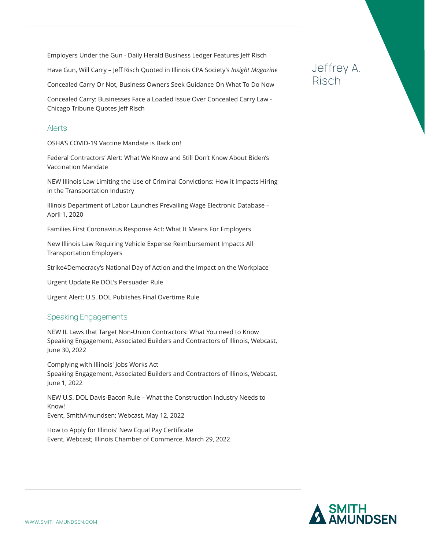Employers Under the Gun - Daily Herald Business Ledger Features Jeff Risch

Have Gun, Will Carry – Jeff Risch Quoted in Illinois CPA Society's *Insight Magazine*

Concealed Carry Or Not, Business Owners Seek Guidance On What To Do Now

Concealed Carry: Businesses Face a Loaded Issue Over Concealed Carry Law - Chicago Tribune Quotes Jeff Risch

#### Alerts

OSHA'S COVID-19 Vaccine Mandate is Back on!

Federal Contractors' Alert: What We Know and Still Don't Know About Biden's Vaccination Mandate

NEW Illinois Law Limiting the Use of Criminal Convictions: How it Impacts Hiring in the Transportation Industry

Illinois Department of Labor Launches Prevailing Wage Electronic Database – April 1, 2020

Families First Coronavirus Response Act: What It Means For Employers

New Illinois Law Requiring Vehicle Expense Reimbursement Impacts All Transportation Employers

Strike4Democracy's National Day of Action and the Impact on the Workplace

Urgent Update Re DOL's Persuader Rule

Urgent Alert: U.S. DOL Publishes Final Overtime Rule

### Speaking Engagements

NEW IL Laws that Target Non-Union Contractors: What You need to Know Speaking Engagement, Associated Builders and Contractors of Illinois, Webcast, June 30, 2022

Complying with Illinois' Jobs Works Act Speaking Engagement, Associated Builders and Contractors of Illinois, Webcast, June 1, 2022

NEW U.S. DOL Davis-Bacon Rule – What the Construction Industry Needs to Know! Event, SmithAmundsen; Webcast, May 12, 2022

How to Apply for Illinois' New Equal Pay Certificate Event, Webcast; Illinois Chamber of Commerce, March 29, 2022

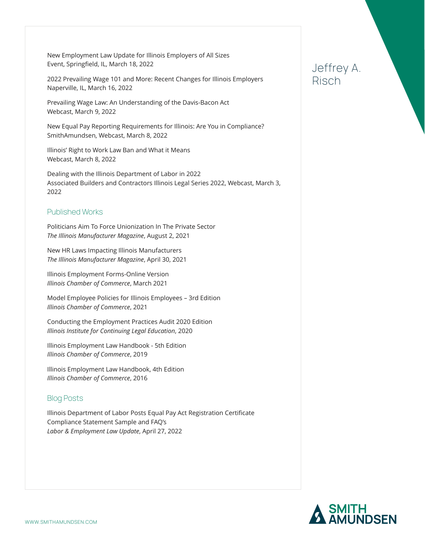New Employment Law Update for Illinois Employers of All Sizes Event, Springfield, IL, March 18, 2022

2022 Prevailing Wage 101 and More: Recent Changes for Illinois Employers Naperville, IL, March 16, 2022

Prevailing Wage Law: An Understanding of the Davis-Bacon Act Webcast, March 9, 2022

New Equal Pay Reporting Requirements for Illinois: Are You in Compliance? SmithAmundsen, Webcast, March 8, 2022

Illinois' Right to Work Law Ban and What it Means Webcast, March 8, 2022

Dealing with the Illinois Department of Labor in 2022 Associated Builders and Contractors Illinois Legal Series 2022, Webcast, March 3, 2022

### Published Works

Politicians Aim To Force Unionization In The Private Sector *The Illinois Manufacturer Magazine*, August 2, 2021

New HR Laws Impacting Illinois Manufacturers *The Illinois Manufacturer Magazine*, April 30, 2021

Illinois Employment Forms-Online Version *Illinois Chamber of Commerce*, March 2021

Model Employee Policies for Illinois Employees – 3rd Edition *Illinois Chamber of Commerce*, 2021

Conducting the Employment Practices Audit 2020 Edition *Illinois Institute for Continuing Legal Education*, 2020

Illinois Employment Law Handbook - 5th Edition *Illinois Chamber of Commerce*, 2019

Illinois Employment Law Handbook, 4th Edition *Illinois Chamber of Commerce*, 2016

### Blog Posts

Illinois Department of Labor Posts Equal Pay Act Registration Certificate Compliance Statement Sample and FAQ's *Labor & Employment Law Update*, April 27, 2022

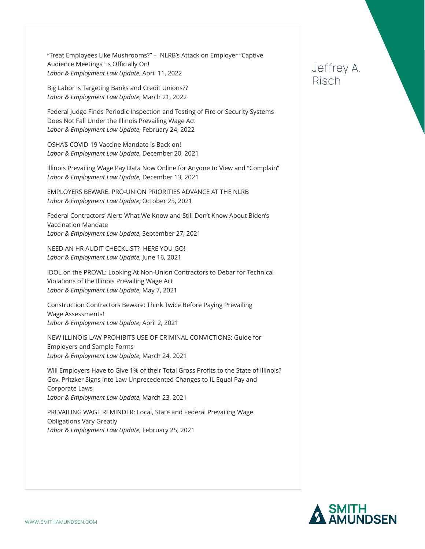"Treat Employees Like Mushrooms?" – NLRB's Attack on Employer "Captive Audience Meetings" is Officially On! *Labor & Employment Law Update*, April 11, 2022

Big Labor is Targeting Banks and Credit Unions?? *Labor & Employment Law Update*, March 21, 2022

Federal Judge Finds Periodic Inspection and Testing of Fire or Security Systems Does Not Fall Under the Illinois Prevailing Wage Act *Labor & Employment Law Update*, February 24, 2022

OSHA'S COVID-19 Vaccine Mandate is Back on! *Labor & Employment Law Update*, December 20, 2021

Illinois Prevailing Wage Pay Data Now Online for Anyone to View and "Complain" *Labor & Employment Law Update*, December 13, 2021

EMPLOYERS BEWARE: PRO-UNION PRIORITIES ADVANCE AT THE NLRB *Labor & Employment Law Update*, October 25, 2021

Federal Contractors' Alert: What We Know and Still Don't Know About Biden's Vaccination Mandate *Labor & Employment Law Update*, September 27, 2021

NEED AN HR AUDIT CHECKLIST? HERE YOU GO! *Labor & Employment Law Update*, June 16, 2021

IDOL on the PROWL: Looking At Non-Union Contractors to Debar for Technical Violations of the Illinois Prevailing Wage Act *Labor & Employment Law Update*, May 7, 2021

Construction Contractors Beware: Think Twice Before Paying Prevailing Wage Assessments! *Labor & Employment Law Update*, April 2, 2021

NEW ILLINOIS LAW PROHIBITS USE OF CRIMINAL CONVICTIONS: Guide for Employers and Sample Forms *Labor & Employment Law Update*, March 24, 2021

Will Employers Have to Give 1% of their Total Gross Profits to the State of Illinois? Gov. Pritzker Signs into Law Unprecedented Changes to IL Equal Pay and Corporate Laws *Labor & Employment Law Update*, March 23, 2021

PREVAILING WAGE REMINDER: Local, State and Federal Prevailing Wage Obligations Vary Greatly *Labor & Employment Law Update*, February 25, 2021

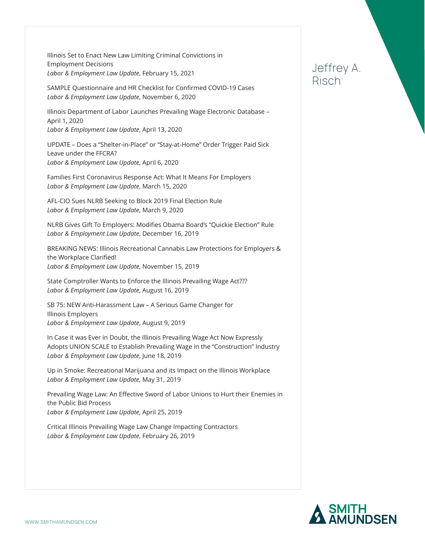Illinois Set to Enact New Law Limiting Criminal Convictions in Employment Decisions *Labor & Employment Law Update*, February 15, 2021

SAMPLE Questionnaire and HR Checklist for Confirmed COVID-19 Cases *Labor & Employment Law Update*, November 6, 2020

Illinois Department of Labor Launches Prevailing Wage Electronic Database – April 1, 2020 *Labor & Employment Law Update*, April 13, 2020

UPDATE – Does a "Shelter-in-Place" or "Stay-at-Home" Order Trigger Paid Sick Leave under the FFCRA? *Labor & Employment Law Update*, April 6, 2020

Families First Coronavirus Response Act: What It Means For Employers *Labor & Employment Law Update*, March 15, 2020

AFL-CIO Sues NLRB Seeking to Block 2019 Final Election Rule *Labor & Employment Law Update*, March 9, 2020

NLRB Gives Gift To Employers: Modifies Obama Board's "Quickie Election" Rule *Labor & Employment Law Update*, December 16, 2019

BREAKING NEWS: Illinois Recreational Cannabis Law Protections for Employers & the Workplace Clarified! *Labor & Employment Law Update*, November 15, 2019

State Comptroller Wants to Enforce the Illinois Prevailing Wage Act??? *Labor & Employment Law Update*, August 16, 2019

SB 75: NEW Anti-Harassment Law – A Serious Game Changer for Illinois Employers *Labor & Employment Law Update*, August 9, 2019

In Case it was Ever in Doubt, the Illinois Prevailing Wage Act Now Expressly Adopts UNION SCALE to Establish Prevailing Wage in the "Construction" Industry *Labor & Employment Law Update*, June 18, 2019

Up in Smoke: Recreational Marijuana and its Impact on the Illinois Workplace *Labor & Employment Law Update*, May 31, 2019

Prevailing Wage Law: An Effective Sword of Labor Unions to Hurt their Enemies in the Public Bid Process *Labor & Employment Law Update*, April 25, 2019

Critical Illinois Prevailing Wage Law Change Impacting Contractors *Labor & Employment Law Update*, February 26, 2019